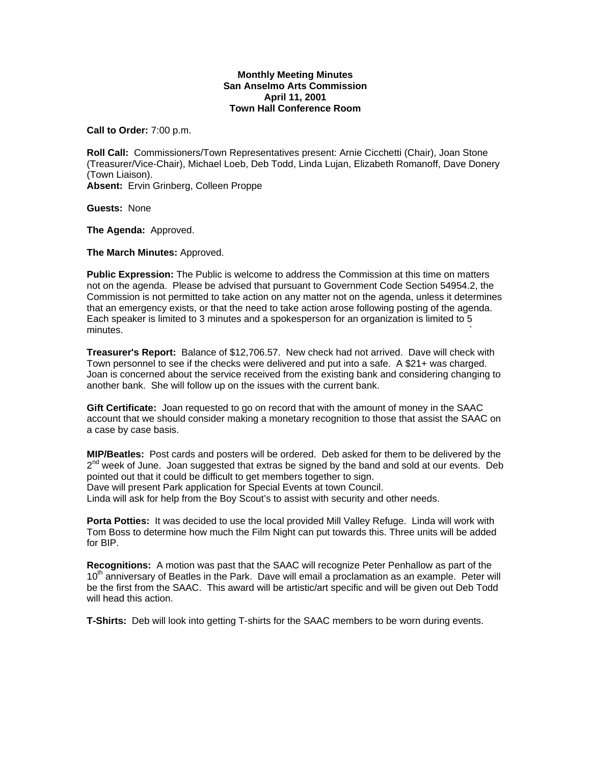## **Monthly Meeting Minutes San Anselmo Arts Commission April 11, 2001 Town Hall Conference Room**

**Call to Order:** 7:00 p.m.

**Roll Call:** Commissioners/Town Representatives present: Arnie Cicchetti (Chair), Joan Stone (Treasurer/Vice-Chair), Michael Loeb, Deb Todd, Linda Lujan, Elizabeth Romanoff, Dave Donery (Town Liaison).

**Absent:** Ervin Grinberg, Colleen Proppe

**Guests:** None

**The Agenda:** Approved.

**The March Minutes:** Approved.

**Public Expression:** The Public is welcome to address the Commission at this time on matters not on the agenda. Please be advised that pursuant to Government Code Section 54954.2, the Commission is not permitted to take action on any matter not on the agenda, unless it determines that an emergency exists, or that the need to take action arose following posting of the agenda. Each speaker is limited to 3 minutes and a spokesperson for an organization is limited to 5  $m$ inutes.  $\sim$ 

**Treasurer's Report:** Balance of \$12,706.57. New check had not arrived. Dave will check with Town personnel to see if the checks were delivered and put into a safe. A \$21+ was charged. Joan is concerned about the service received from the existing bank and considering changing to another bank. She will follow up on the issues with the current bank.

**Gift Certificate:** Joan requested to go on record that with the amount of money in the SAAC account that we should consider making a monetary recognition to those that assist the SAAC on a case by case basis.

**MIP/Beatles:** Post cards and posters will be ordered. Deb asked for them to be delivered by the  $2^{nd}$  week of June. Joan suggested that extras be signed by the band and sold at our events. Deb pointed out that it could be difficult to get members together to sign. Dave will present Park application for Special Events at town Council.

Linda will ask for help from the Boy Scout's to assist with security and other needs.

**Porta Potties:** It was decided to use the local provided Mill Valley Refuge. Linda will work with Tom Boss to determine how much the Film Night can put towards this. Three units will be added for BIP.

**Recognitions:** A motion was past that the SAAC will recognize Peter Penhallow as part of the 10<sup>th</sup> anniversary of Beatles in the Park. Dave will email a proclamation as an example. Peter will be the first from the SAAC. This award will be artistic/art specific and will be given out Deb Todd will head this action.

**T-Shirts:** Deb will look into getting T-shirts for the SAAC members to be worn during events.